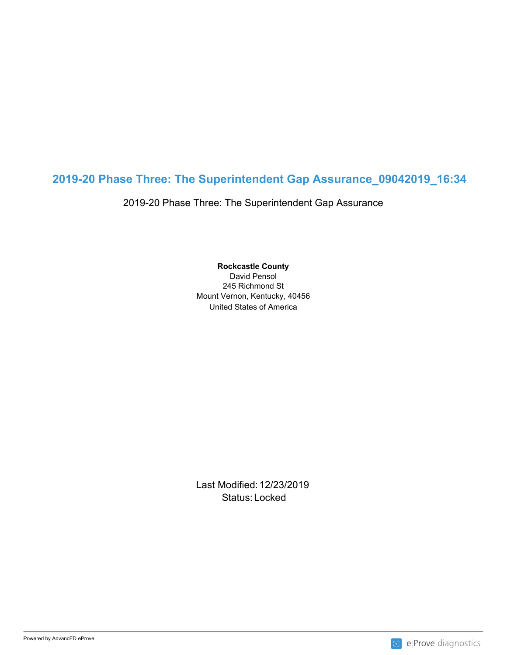# **2019-20 Phase Three: The Superintendent Gap Assurance\_09042019\_16:34**

2019-20 Phase Three: The Superintendent Gap Assurance

United States of America **Rockcastle County** David Pensol 245 Richmond St Mount Vernon, Kentucky, 40456

Last Modified: 12/23/2019 Status: Locked and the status of the status of the status of the status of the status of the status of the status of the status of the status of the status of the status of the status of the status of the status of the sta

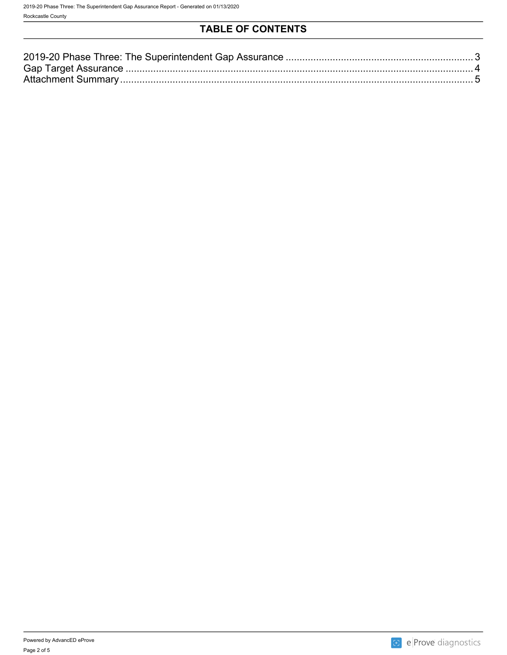## **TABLE OF CONTENTS**

| 2019-20 Phase Three: The Superintendent Gap Assurance. |  |
|--------------------------------------------------------|--|
| <b>Gap Target</b><br>Accurano                          |  |
| Attachment<br>$\sim$ ummar                             |  |

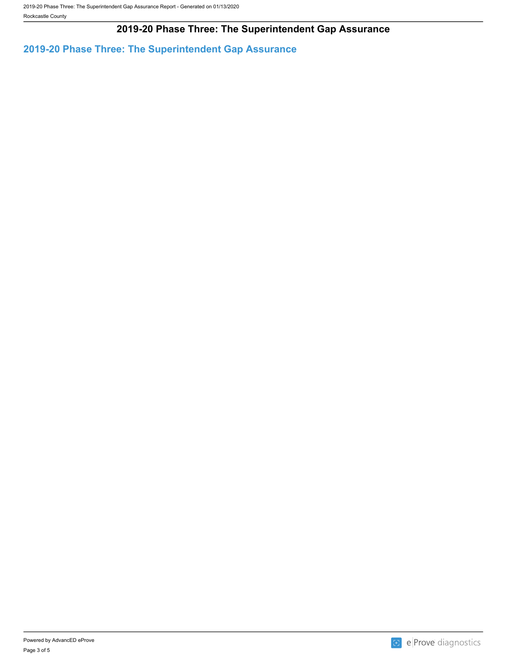### **2019-20 Phase Three: The Superintendent Gap Assurance**

<span id="page-2-0"></span>**2019-20 Phase Three: The Superintendent Gap Assurance**

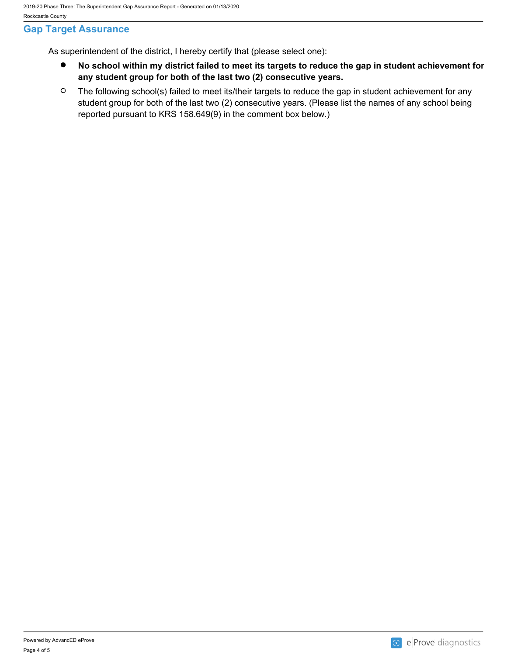#### <span id="page-3-0"></span>**Gap Target Assurance**

As superintendent of the district, I hereby certify that (please select one):

- $\bullet$ **No school within my district failed to meet its targets to reduce the gap in student achievement for any student group for both of the last two (2) consecutive years.**
- $\circ$ The following school(s) failed to meet its/their targets to reduce the gap in student achievement for any student group for both of the last two (2) consecutive years. (Please list the names of any school being reported pursuant to KRS 158.649(9) in the comment box below.)